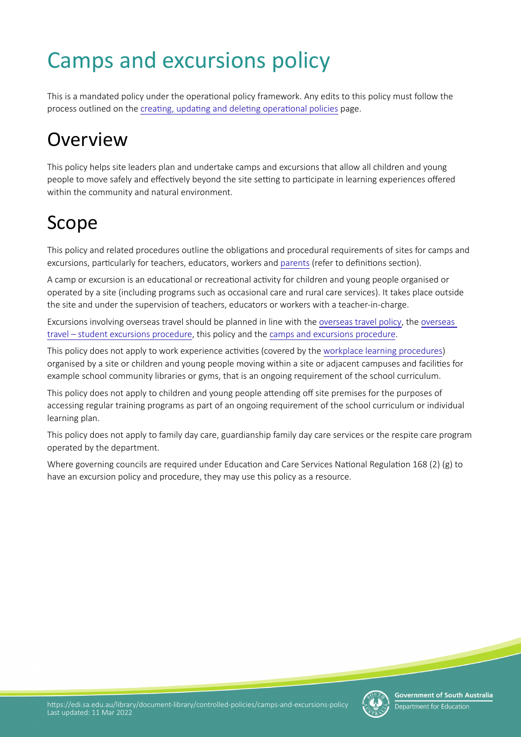# Camps and excursions policy

This is a mandated policy under the operational policy framework. Any edits to this policy must follow the process outlined on the creating, updating and deleting operational policies page.

# **Overview**

This policy helps site leaders plan and undertake camps and excursions that allow all children and young people to move safely and effectively beyond the site setting to participate in learning experiences offered within the community and natural environment.

# Scope

This policy and related procedures outline the obligations and procedural requirements of sites for camps and excursions, particularly for teachers, educators, workers and parents (refer to definitions section).

A camp or excursion is an educational or recreational activity for children and young people organised or operated by a site (including programs such as occasional care and rural care services). It takes place outside the site and under the supervision of teachers, educators or workers with a teacher-in-charge.

Excursions involving overseas travel should be planned in line with the [overseas travel policy,](https://edi.sa.edu.au/library/document-library/controlled-policies/overseas-travel-policy) the [overseas](https://edi.sa.edu.au/library/document-library/controlled-procedures/overseas-travel-student-excursions-procedure)  [travel – student excursions procedure,](https://edi.sa.edu.au/library/document-library/controlled-procedures/overseas-travel-student-excursions-procedure) this policy and the [camps and excursions procedure](https://edi.sa.edu.au/library/document-library/controlled-procedures/camps-and-excursions-procedure).

This policy does not apply to work experience activities (covered by the [workplace learning procedures\)](https://www.education.sa.gov.au/doc/workplace-learning-procedures) organised by a site or children and young people moving within a site or adjacent campuses and facilites for example school community libraries or gyms, that is an ongoing requirement of the school curriculum.

This policy does not apply to children and young people attending off site premises for the purposes of accessing regular training programs as part of an ongoing requirement of the school curriculum or individual learning plan.

This policy does not apply to family day care, guardianship family day care services or the respite care program operated by the department.

Where governing councils are required under Education and Care Services National Regulation 168 (2) (g) to have an excursion policy and procedure, they may use this policy as a resource.

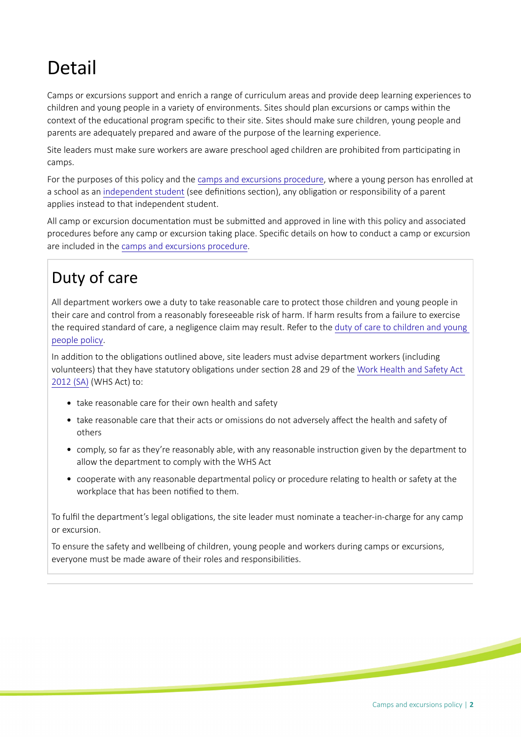# Detail

Camps or excursions support and enrich a range of curriculum areas and provide deep learning experiences to children and young people in a variety of environments. Sites should plan excursions or camps within the context of the educational program specific to their site. Sites should make sure children, young people and parents are adequately prepared and aware of the purpose of the learning experience.

Site leaders must make sure workers are aware preschool aged children are prohibited from participating in camps.

For the purposes of this policy and the [camps and excursions procedure](https://edi.sa.edu.au/library/document-library/controlled-procedures/camps-and-excursions-procedure), where a young person has enrolled at a school as an independent student (see definitions section), any obligation or responsibility of a parent applies instead to that independent student.

All camp or excursion documentaton must be submited and approved in line with this policy and associated procedures before any camp or excursion taking place. Specifc details on how to conduct a camp or excursion are included in the [camps and excursions procedure.](https://edi.sa.edu.au/library/document-library/controlled-procedures/camps-and-excursions-procedure)

# Duty of care

All department workers owe a duty to take reasonable care to protect those children and young people in their care and control from a reasonably foreseeable risk of harm. If harm results from a failure to exercise the required standard of care, a negligence claim may result. Refer to the [duty of care to children and young](https://edi.sa.edu.au/library/document-library/controlled-policies/duty-of-care-policy)  [people policy.](https://edi.sa.edu.au/library/document-library/controlled-policies/duty-of-care-policy)

In addition to the obligations outlined above, site leaders must advise department workers (including volunteers) that they have statutory obligations under section 28 and 29 of the Work Health and Safety Act [2012 \(SA\)](https://www.legislation.sa.gov.au/LZ/C/A/WORK%20HEALTH%20AND%20SAFETY%20ACT%202012.aspx) (WHS Act) to:

- take reasonable care for their own health and safety
- take reasonable care that their acts or omissions do not adversely affect the health and safety of others
- comply, so far as they're reasonably able, with any reasonable instruction given by the department to allow the department to comply with the WHS Act
- cooperate with any reasonable departmental policy or procedure relating to health or safety at the workplace that has been notified to them.

To fulfil the department's legal obligations, the site leader must nominate a teacher-in-charge for any camp or excursion.

To ensure the safety and wellbeing of children, young people and workers during camps or excursions, everyone must be made aware of their roles and responsibilites.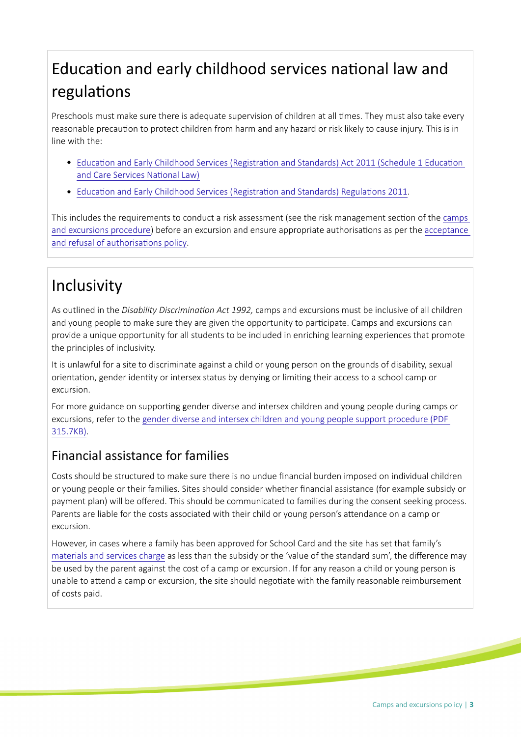# Education and early childhood services national law and regulations

Preschools must make sure there is adequate supervision of children at all tmes. They must also take every reasonable precaution to protect children from harm and any hazard or risk likely to cause injury. This is in line with the:

- Education and Early Childhood Services (Registration and Standards) Act 2011 (Schedule 1 Education and Care Services National Law)
- Education and Early Childhood Services (Registration and Standards) Regulations 2011.

This includes the requirements to conduct a risk assessment (see the risk management secton of the [camps](https://edi.sa.edu.au/library/document-library/controlled-procedures/camps-and-excursions-procedure)  [and excursions procedure](https://edi.sa.edu.au/library/document-library/controlled-procedures/camps-and-excursions-procedure)) before an excursion and ensure appropriate authorisations as per the acceptance and refusal of authorisations policy.

## Inclusivity

As outlined in the *Disability Discriminaton Act 1992,* camps and excursions must be inclusive of all children and young people to make sure they are given the opportunity to participate. Camps and excursions can provide a unique opportunity for all students to be included in enriching learning experiences that promote the principles of inclusivity.

It is unlawful for a site to discriminate against a child or young person on the grounds of disability, sexual orientaton, gender identty or intersex status by denying or limitng their access to a school camp or excursion.

For more guidance on supporting gender diverse and intersex children and young people during camps or excursions, refer to the [gender diverse and intersex children and young people support procedure \(PDF](https://edi.sa.edu.au/library/document-library/controlled-procedures/gender-diverse-intersex-children-young-people-support-procedure.pdf)  [315.7KB\).](https://edi.sa.edu.au/library/document-library/controlled-procedures/gender-diverse-intersex-children-young-people-support-procedure.pdf)

#### Financial assistance for families

Costs should be structured to make sure there is no undue fnancial burden imposed on individual children or young people or their families. Sites should consider whether fnancial assistance (for example subsidy or payment plan) will be ofered. This should be communicated to families during the consent seeking process. Parents are liable for the costs associated with their child or young person's attendance on a camp or excursion.

However, in cases where a family has been approved for School Card and the site has set that family's [materials and services charge](https://edi.sa.edu.au/finance/for-schools-and-preschools/school-and-preschool-systems-and-procedures/materials-and-services-charge) as less than the subsidy or the 'value of the standard sum', the diference may be used by the parent against the cost of a camp or excursion. If for any reason a child or young person is unable to attend a camp or excursion, the site should negotiate with the family reasonable reimbursement of costs paid.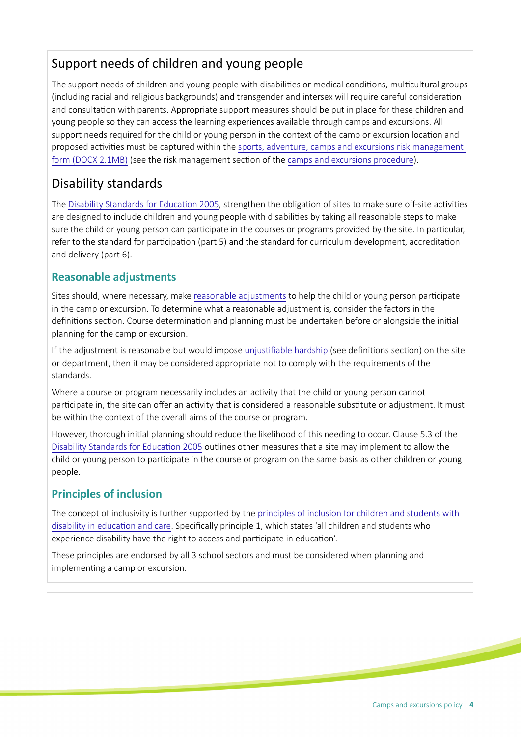#### Support needs of children and young people

The support needs of children and young people with disabilities or medical conditions, multicultural groups (including racial and religious backgrounds) and transgender and intersex will require careful consideraton and consultation with parents. Appropriate support measures should be put in place for these children and young people so they can access the learning experiences available through camps and excursions. All support needs required for the child or young person in the context of the camp or excursion location and proposed activities must be captured within the sports, adventure, camps and excursions risk management [form \(DOCX 2.1MB\)](https://edi.sa.edu.au/library/document-library/psp/conditions-for-learning/camps,-excursions-and-sporting-activities/camps-and-excursion-risk-management-form.docx) (see the risk management section of the [camps and excursions procedure\)](https://edi.sa.edu.au/library/document-library/controlled-procedures/camps-and-excursions-procedure).

#### Disability standards

The Disability Standards for Education 2005, strengthen the obligation of sites to make sure off-site activities are designed to include children and young people with disabilities by taking all reasonable steps to make sure the child or young person can participate in the courses or programs provided by the site. In particular, refer to the standard for participation (part 5) and the standard for curriculum development, accreditation and delivery (part 6).

#### **Reasonable adjustments**

Sites should, where necessary, make reasonable adjustments to help the child or young person partcipate in the camp or excursion. To determine what a reasonable adjustment is, consider the factors in the definitions section. Course determination and planning must be undertaken before or alongside the initial planning for the camp or excursion.

If the adjustment is reasonable but would impose unjustifiable hardship (see definitions section) on the site or department, then it may be considered appropriate not to comply with the requirements of the standards.

Where a course or program necessarily includes an activity that the child or young person cannot participate in, the site can offer an activity that is considered a reasonable substitute or adjustment. It must be within the context of the overall aims of the course or program.

However, thorough inital planning should reduce the likelihood of this needing to occur. Clause 5.3 of the [Disability Standards for Educaton 2005](https://www.legislation.gov.au/Details/F2005L00767) outlines other measures that a site may implement to allow the child or young person to participate in the course or program on the same basis as other children or young people.

#### **Principles of inclusion**

The concept of inclusivity is further supported by the [principles of inclusion for children and students with](https://www.education.sa.gov.au/parents-and-families/health-and-disability-support/health-and-disability-programs/principles-inclusion-children-and-students-disability-education-and-care)  [disability in educaton and care](https://www.education.sa.gov.au/parents-and-families/health-and-disability-support/health-and-disability-programs/principles-inclusion-children-and-students-disability-education-and-care). Specifcally principle 1, which states 'all children and students who experience disability have the right to access and participate in education'.

These principles are endorsed by all 3 school sectors and must be considered when planning and implementing a camp or excursion.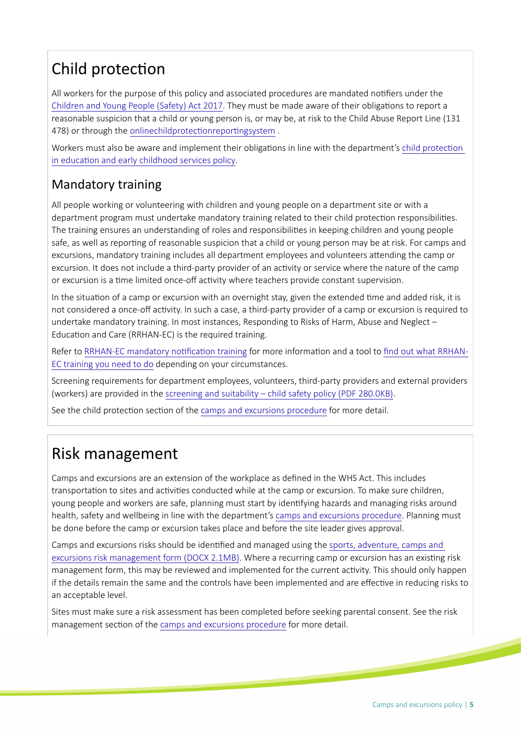# Child protection

All workers for the purpose of this policy and associated procedures are mandated notifiers under the [Children and Young People \(Safety\) Act 2017.](https://www.legislation.sa.gov.au/LZ/C/A/CHILDREN%20AND%20YOUNG%20PEOPLE%20(SAFETY)%20ACT%202017.aspx) They must be made aware of their obligations to report a reasonable suspicion that a child or young person is, or may be, at risk to the Child Abuse Report Line (131 478) or through the onlinechildprotectionreportingsystem.

Workers must also be aware and implement their obligations in line with the department's child protection in education and early childhood services policy.

#### Mandatory training

All people working or volunteering with children and young people on a department site or with a department program must undertake mandatory training related to their child protecton responsibilites. The training ensures an understanding of roles and responsibilites in keeping children and young people safe, as well as reporting of reasonable suspicion that a child or young person may be at risk. For camps and excursions, mandatory training includes all department employees and volunteers attending the camp or excursion. It does not include a third-party provider of an activity or service where the nature of the camp or excursion is a time limited once-off activity where teachers provide constant supervision.

In the situation of a camp or excursion with an overnight stay, given the extended time and added risk, it is not considered a once-off activity. In such a case, a third-party provider of a camp or excursion is required to undertake mandatory training. In most instances, Responding to Risks of Harm, Abuse and Neglect – Education and Care (RRHAN-EC) is the required training.

Refer to RRHAN-EC mandatory notification training for more information and a tool to find out what RRHAN-[EC training you need to do](https://www.education.sa.gov.au/working-us/responding-abuse-and-neglect-training/find-out-ran-ec) depending on your circumstances.

Screening requirements for department employees, volunteers, third-party providers and external providers (workers) are provided in the [screening and suitability – child safety policy \(PDF 280.0KB\)](https://edi.sa.edu.au/library/document-library/controlled-policies/screening-and-suitability-child-safety-policy.pdf).

See the child protection section of the [camps and excursions procedure](https://edi.sa.edu.au/library/document-library/controlled-procedures/camps-and-excursions-procedure) for more detail.

# Risk management

Camps and excursions are an extension of the workplace as defned in the WHS Act. This includes transportation to sites and activities conducted while at the camp or excursion. To make sure children, young people and workers are safe, planning must start by identfying hazards and managing risks around health, safety and wellbeing in line with the department's [camps and excursions procedure](https://edi.sa.edu.au/library/document-library/controlled-procedures/camps-and-excursions-procedure). Planning must be done before the camp or excursion takes place and before the site leader gives approval.

Camps and excursions risks should be identified and managed using the sports, adventure, camps and [excursions risk management form \(DOCX 2.1MB\).](https://edi.sa.edu.au/library/document-library/psp/conditions-for-learning/camps,-excursions-and-sporting-activities/camps-and-excursion-risk-management-form.docx) Where a recurring camp or excursion has an existng risk management form, this may be reviewed and implemented for the current activity. This should only happen if the details remain the same and the controls have been implemented and are effective in reducing risks to an acceptable level.

Sites must make sure a risk assessment has been completed before seeking parental consent. See the risk management section of the [camps and excursions procedure](https://edi.sa.edu.au/library/document-library/controlled-procedures/camps-and-excursions-procedure) for more detail.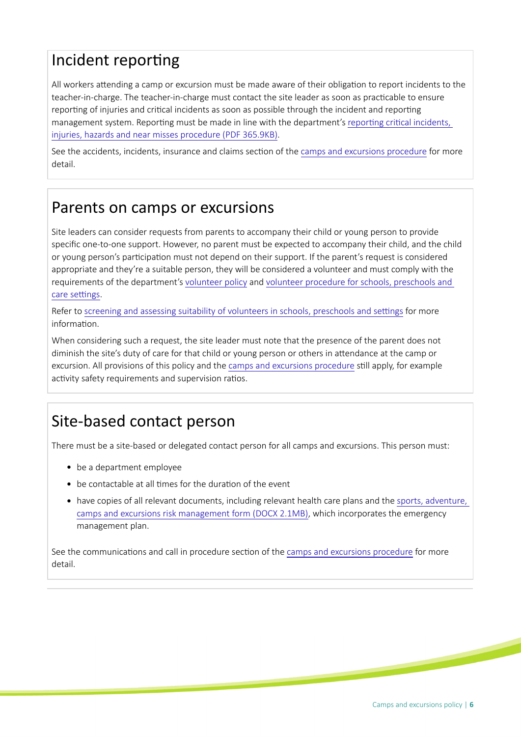# Incident reporting

All workers atending a camp or excursion must be made aware of their obligaton to report incidents to the teacher-in-charge. The teacher-in-charge must contact the site leader as soon as practicable to ensure reporting of injuries and critical incidents as soon as possible through the incident and reporting management system. Reporting must be made in line with the department's reporting critical incidents, [injuries, hazards and near misses procedure \(PDF 365.9KB\)](https://edi.sa.edu.au/library/document-library/controlled-procedures/reporting-critical-incidents-injuries-hazards-and-near-misses-procedure.pdf).

See the accidents, incidents, insurance and claims section of the [camps and excursions procedure](https://edi.sa.edu.au/library/document-library/controlled-procedures/camps-and-excursions-procedure) for more detail.

### Parents on camps or excursions

Site leaders can consider requests from parents to accompany their child or young person to provide specifc one-to-one support. However, no parent must be expected to accompany their child, and the child or young person's partcipaton must not depend on their support. If the parent's request is considered appropriate and they're a suitable person, they will be considered a volunteer and must comply with the requirements of the department's [volunteer policy](./?a=385726) and [volunteer procedure for schools, preschools and](./?a=385928)  care settings.

Refer to screening and assessing suitability of volunteers in schools, preschools and settings for more information.

When considering such a request, the site leader must note that the presence of the parent does not diminish the site's duty of care for that child or young person or others in atendance at the camp or excursion. All provisions of this policy and the [camps and excursions procedure](https://edi.sa.edu.au/library/document-library/controlled-procedures/camps-and-excursions-procedure) stll apply, for example activity safety requirements and supervision ratios.

# Site-based contact person

There must be a site-based or delegated contact person for all camps and excursions. This person must:

- be a department employee
- be contactable at all times for the duration of the event
- have copies of all relevant documents, including relevant health care plans and the [sports, adventure,](https://edi.sa.edu.au/library/document-library/psp/conditions-for-learning/camps,-excursions-and-sporting-activities/camps-and-excursion-risk-management-form.docx)  [camps and excursions risk management form \(DOCX 2.1MB\)](https://edi.sa.edu.au/library/document-library/psp/conditions-for-learning/camps,-excursions-and-sporting-activities/camps-and-excursion-risk-management-form.docx), which incorporates the emergency management plan.

See the communications and call in procedure section of the [camps and excursions procedure](https://edi.sa.edu.au/library/document-library/controlled-procedures/camps-and-excursions-procedure) for more detail.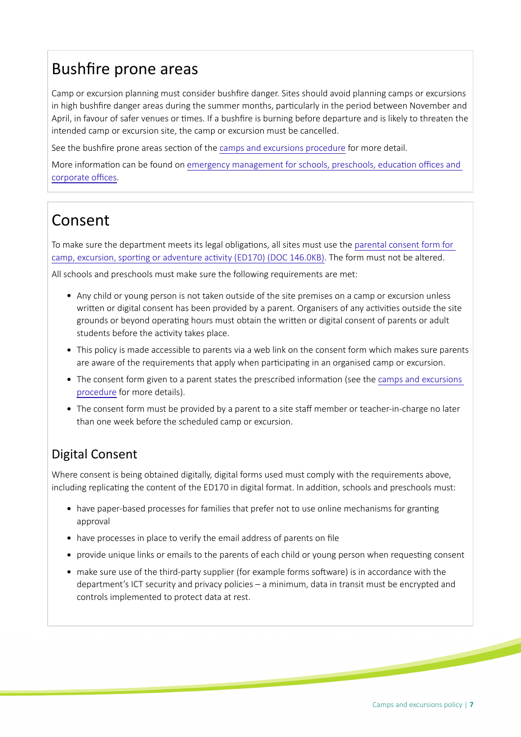## Bushfre prone areas

Camp or excursion planning must consider bushfre danger. Sites should avoid planning camps or excursions in high bushfire danger areas during the summer months, particularly in the period between November and April, in favour of safer venues or tmes. If a bushfre is burning before departure and is likely to threaten the intended camp or excursion site, the camp or excursion must be cancelled.

See the bushfire prone areas section of the [camps and excursions procedure](https://edi.sa.edu.au/library/document-library/controlled-procedures/camps-and-excursions-procedure) for more detail.

More information can be found on emergency management for schools, preschools, education offices and corporate offices.

## Consent

To make sure the department meets its legal obligations, all sites must use the parental consent form for camp, excursion, sporting or adventure activity (ED170) (DOC 146.0KB). The form must not be altered.

All schools and preschools must make sure the following requirements are met:

- Any child or young person is not taken outside of the site premises on a camp or excursion unless written or digital consent has been provided by a parent. Organisers of any activities outside the site grounds or beyond operatng hours must obtain the writen or digital consent of parents or adult students before the activity takes place.
- This policy is made accessible to parents via a web link on the consent form which makes sure parents are aware of the requirements that apply when participating in an organised camp or excursion.
- The consent form given to a parent states the prescribed information (see the camps and excursions [procedure](https://edi.sa.edu.au/library/document-library/controlled-procedures/camps-and-excursions-procedure) for more details).
- The consent form must be provided by a parent to a site staff member or teacher-in-charge no later than one week before the scheduled camp or excursion.

### Digital Consent

Where consent is being obtained digitally, digital forms used must comply with the requirements above, including replicating the content of the ED170 in digital format. In addition, schools and preschools must:

- have paper-based processes for families that prefer not to use online mechanisms for granting approval
- have processes in place to verify the email address of parents on fle
- provide unique links or emails to the parents of each child or young person when requesting consent
- make sure use of the third-party supplier (for example forms sofware) is in accordance with the department's ICT security and privacy policies – a minimum, data in transit must be encrypted and controls implemented to protect data at rest.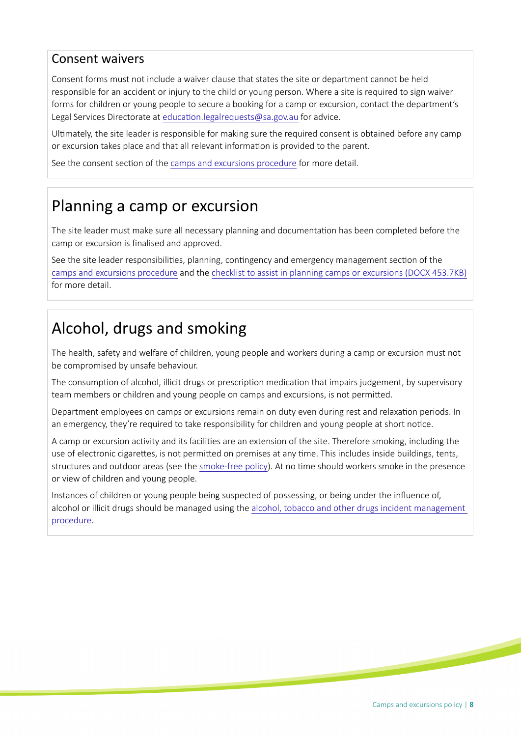#### Consent waivers

Consent forms must not include a waiver clause that states the site or department cannot be held responsible for an accident or injury to the child or young person. Where a site is required to sign waiver forms for children or young people to secure a booking for a camp or excursion, contact the department's Legal Services Directorate at education.legalrequests@sa.gov.au for advice.

Ultmately, the site leader is responsible for making sure the required consent is obtained before any camp or excursion takes place and that all relevant informaton is provided to the parent.

See the consent section of the [camps and excursions procedure](https://edi.sa.edu.au/library/document-library/controlled-procedures/camps-and-excursions-procedure) for more detail.

### Planning a camp or excursion

The site leader must make sure all necessary planning and documentaton has been completed before the camp or excursion is fnalised and approved.

See the site leader responsibilities, planning, contingency and emergency management section of the [camps and excursions procedure](https://edi.sa.edu.au/library/document-library/controlled-procedures/camps-and-excursions-procedure) and the [checklist to assist in planning camps or excursions \(DOCX 453.7KB\)](https://edi.sa.edu.au/library/document-library/psp/conditions-for-learning/checklist-to-assist-in-planning-camps-or-excursions.docx) for more detail.

# Alcohol, drugs and smoking

The health, safety and welfare of children, young people and workers during a camp or excursion must not be compromised by unsafe behaviour.

The consumption of alcohol, illicit drugs or prescription medication that impairs judgement, by supervisory team members or children and young people on camps and excursions, is not permited.

Department employees on camps or excursions remain on duty even during rest and relaxation periods. In an emergency, they're required to take responsibility for children and young people at short notice.

A camp or excursion actvity and its facilites are an extension of the site. Therefore smoking, including the use of electronic cigarettes, is not permitted on premises at any time. This includes inside buildings, tents, structures and outdoor areas (see the [smoke-free policy\)](https://edi.sa.edu.au/library/document-library/controlled-policies/smoke-free-policy). At no time should workers smoke in the presence or view of children and young people.

Instances of children or young people being suspected of possessing, or being under the infuence of, alcohol or illicit drugs should be managed using the [alcohol, tobacco and other drugs incident management](https://edi.sa.edu.au/library/document-library/controlled-procedures/alcohol,-tobacco-and-other-drugs-incident-management-procedure)  [procedure.](https://edi.sa.edu.au/library/document-library/controlled-procedures/alcohol,-tobacco-and-other-drugs-incident-management-procedure)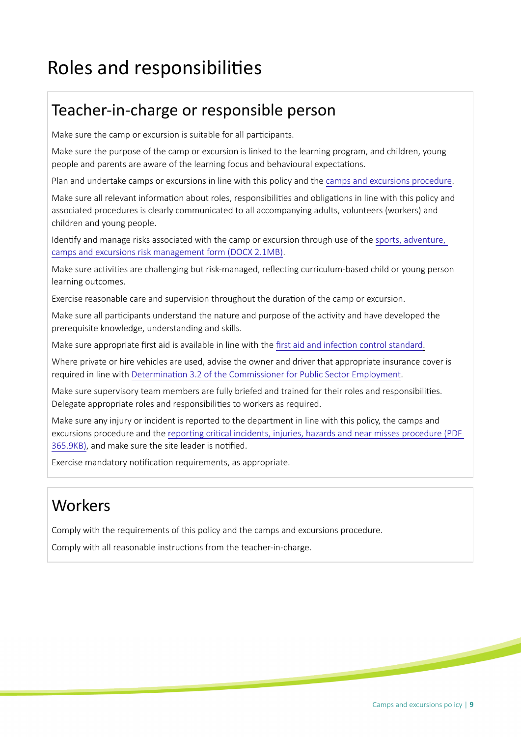# Roles and responsibilites

### Teacher-in-charge or responsible person

Make sure the camp or excursion is suitable for all participants.

Make sure the purpose of the camp or excursion is linked to the learning program, and children, young people and parents are aware of the learning focus and behavioural expectatons.

Plan and undertake camps or excursions in line with this policy and the [camps and excursions procedure.](https://edi.sa.edu.au/library/document-library/controlled-procedures/camps-and-excursions-procedure)

Make sure all relevant information about roles, responsibilities and obligations in line with this policy and associated procedures is clearly communicated to all accompanying adults, volunteers (workers) and children and young people.

Identfy and manage risks associated with the camp or excursion through use of the [sports, adventure,](https://edi.sa.edu.au/library/document-library/psp/conditions-for-learning/camps,-excursions-and-sporting-activities/camps-and-excursion-risk-management-form.docx)  [camps and excursions risk management form \(DOCX 2.1MB\)](https://edi.sa.edu.au/library/document-library/psp/conditions-for-learning/camps,-excursions-and-sporting-activities/camps-and-excursion-risk-management-form.docx).

Make sure activities are challenging but risk-managed, reflecting curriculum-based child or young person learning outcomes.

Exercise reasonable care and supervision throughout the duration of the camp or excursion.

Make sure all participants understand the nature and purpose of the activity and have developed the prerequisite knowledge, understanding and skills.

Make sure appropriate first aid is available in line with the first aid and infection control standard.

Where private or hire vehicles are used, advise the owner and driver that appropriate insurance cover is required in line with Determination 3.2 of the Commissioner for Public Sector Employment.

Make sure supervisory team members are fully briefed and trained for their roles and responsibilites. Delegate appropriate roles and responsibilities to workers as required.

Make sure any injury or incident is reported to the department in line with this policy, the camps and excursions procedure and the reporting critical incidents, injuries, hazards and near misses procedure (PDF [365.9KB\),](https://edi.sa.edu.au/library/document-library/controlled-procedures/reporting-critical-incidents-injuries-hazards-and-near-misses-procedure.pdf) and make sure the site leader is notified.

Exercise mandatory notification requirements, as appropriate.

# **Workers**

Comply with the requirements of this policy and the camps and excursions procedure.

Comply with all reasonable instructions from the teacher-in-charge.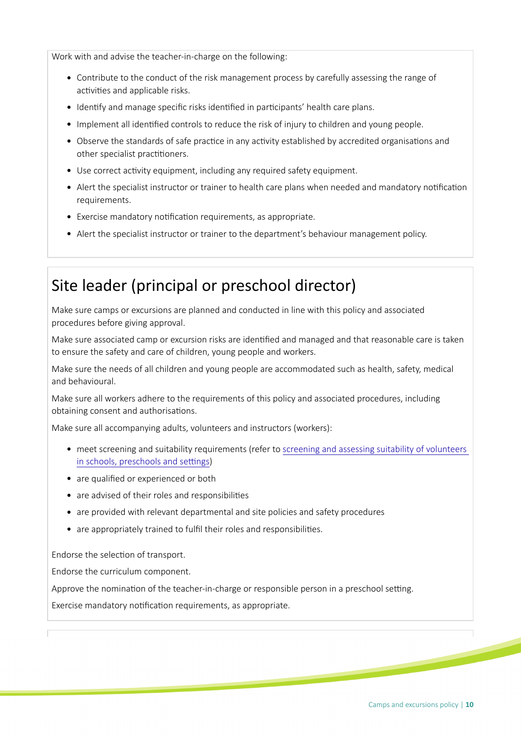Work with and advise the teacher-in-charge on the following:

- Contribute to the conduct of the risk management process by carefully assessing the range of activities and applicable risks.
- Identify and manage specific risks identified in participants' health care plans.
- Implement all identified controls to reduce the risk of injury to children and young people.
- Observe the standards of safe practice in any activity established by accredited organisations and other specialist practitioners.
- Use correct actvity equipment, including any required safety equipment.
- Alert the specialist instructor or trainer to health care plans when needed and mandatory notification requirements.
- $\bullet$  Exercise mandatory notification requirements, as appropriate.
- Alert the specialist instructor or trainer to the department's behaviour management policy.

### Site leader (principal or preschool director)

Make sure camps or excursions are planned and conducted in line with this policy and associated procedures before giving approval.

Make sure associated camp or excursion risks are identified and managed and that reasonable care is taken to ensure the safety and care of children, young people and workers.

Make sure the needs of all children and young people are accommodated such as health, safety, medical and behavioural.

Make sure all workers adhere to the requirements of this policy and associated procedures, including obtaining consent and authorisations.

Make sure all accompanying adults, volunteers and instructors (workers):

- meet screening and suitability requirements (refer to screening and assessing suitability of volunteers in schools, preschools and settings)
- are qualified or experienced or both
- are advised of their roles and responsibilities
- are provided with relevant departmental and site policies and safety procedures
- are appropriately trained to fulfil their roles and responsibilities.

Endorse the selection of transport.

Endorse the curriculum component.

Approve the nomination of the teacher-in-charge or responsible person in a preschool setting.

Exercise mandatory notification requirements, as appropriate.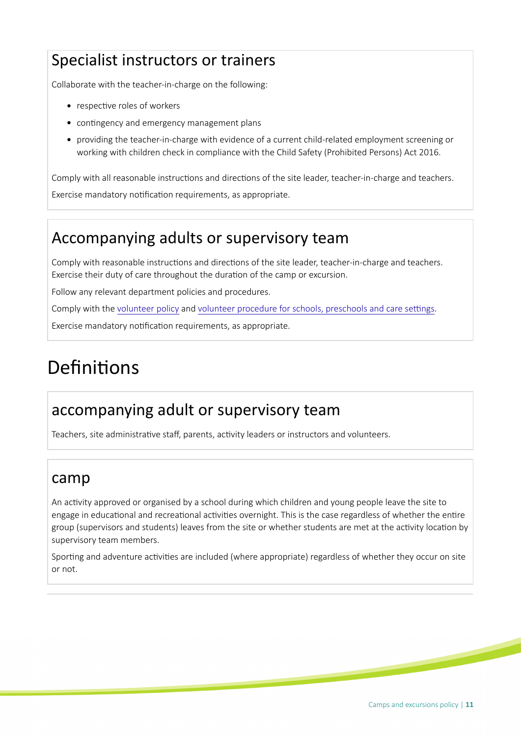# Specialist instructors or trainers

Collaborate with the teacher-in-charge on the following:

- respective roles of workers
- contingency and emergency management plans
- providing the teacher-in-charge with evidence of a current child-related employment screening or working with children check in compliance with the Child Safety (Prohibited Persons) Act 2016.

Comply with all reasonable instructions and directions of the site leader, teacher-in-charge and teachers.

Exercise mandatory notification requirements, as appropriate.

### Accompanying adults or supervisory team

Comply with reasonable instructions and directions of the site leader, teacher-in-charge and teachers. Exercise their duty of care throughout the duration of the camp or excursion.

Follow any relevant department policies and procedures.

Comply with the [volunteer policy](./?a=385726) and volunteer procedure for schools, preschools and care settings.

Exercise mandatory notification requirements, as appropriate.

# Definitions

### accompanying adult or supervisory team

Teachers, site administrative staff, parents, activity leaders or instructors and volunteers.

#### camp

An activity approved or organised by a school during which children and young people leave the site to engage in educational and recreational activities overnight. This is the case regardless of whether the entire group (supervisors and students) leaves from the site or whether students are met at the activity location by supervisory team members.

Sporting and adventure activities are included (where appropriate) regardless of whether they occur on site or not.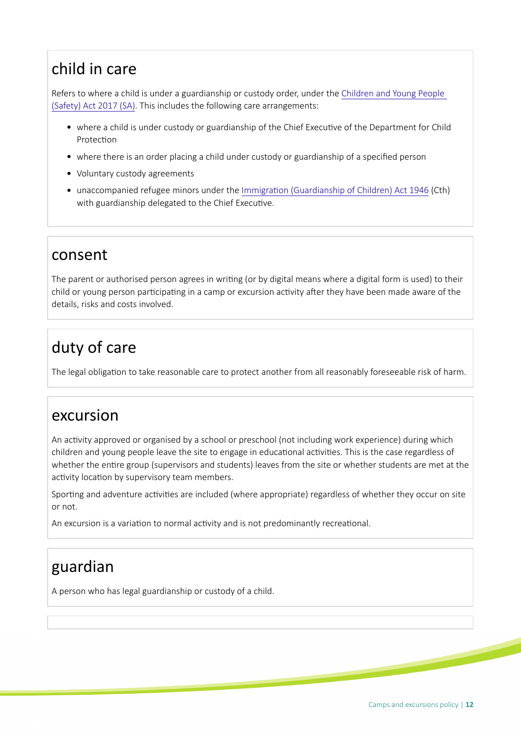# child in care

Refers to where a child is under a guardianship or custody order, under the [Children and Young People](https://www.legislation.sa.gov.au/LZ/C/A/CHILDREN%20AND%20YOUNG%20PEOPLE%20(SAFETY)%20ACT%202017.aspx)  [\(Safety\) Act 2017 \(SA\)](https://www.legislation.sa.gov.au/LZ/C/A/CHILDREN%20AND%20YOUNG%20PEOPLE%20(SAFETY)%20ACT%202017.aspx). This includes the following care arrangements:

- where a child is under custody or guardianship of the Chief Executve of the Department for Child Protection
- where there is an order placing a child under custody or guardianship of a specifed person
- Voluntary custody agreements
- unaccompanied refugee minors under the [Immigraton \(Guardianship of Children\) Act 1946](http://www6.austlii.edu.au/cgi-bin/viewdb/au/legis/cth/consol_act/ioca1946337) (Cth) with guardianship delegated to the Chief Executive.

### consent

The parent or authorised person agrees in writng (or by digital means where a digital form is used) to their child or young person participating in a camp or excursion activity after they have been made aware of the details, risks and costs involved.

# duty of care

The legal obligation to take reasonable care to protect another from all reasonably foreseeable risk of harm.

### excursion

An activity approved or organised by a school or preschool (not including work experience) during which children and young people leave the site to engage in educational activities. This is the case regardless of whether the entre group (supervisors and students) leaves from the site or whether students are met at the activity location by supervisory team members.

Sporting and adventure activities are included (where appropriate) regardless of whether they occur on site or not.

An excursion is a variation to normal activity and is not predominantly recreational.

### guardian

A person who has legal guardianship or custody of a child.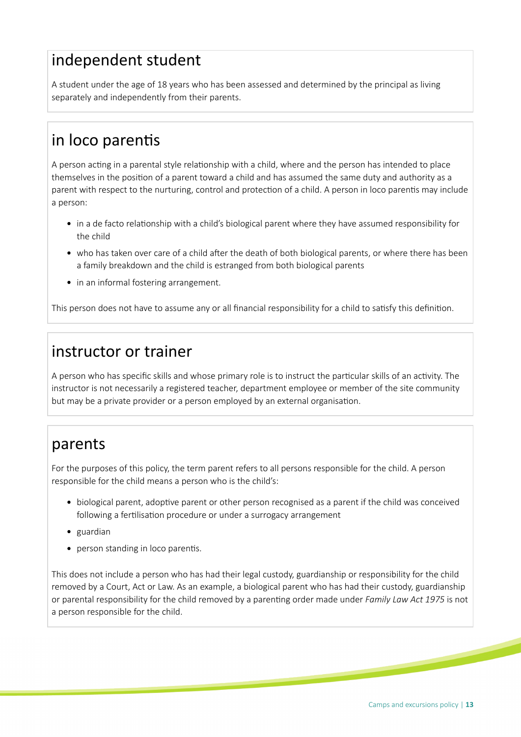### independent student

A student under the age of 18 years who has been assessed and determined by the principal as living separately and independently from their parents.

# in loco parents

A person acting in a parental style relationship with a child, where and the person has intended to place themselves in the positon of a parent toward a child and has assumed the same duty and authority as a parent with respect to the nurturing, control and protection of a child. A person in loco parentis may include a person:

- in a de facto relationship with a child's biological parent where they have assumed responsibility for the child
- who has taken over care of a child after the death of both biological parents, or where there has been a family breakdown and the child is estranged from both biological parents
- in an informal fostering arrangement.

This person does not have to assume any or all financial responsibility for a child to satisfy this definition.

### instructor or trainer

A person who has specifc skills and whose primary role is to instruct the partcular skills of an actvity. The instructor is not necessarily a registered teacher, department employee or member of the site community but may be a private provider or a person employed by an external organisaton.

### parents

For the purposes of this policy, the term parent refers to all persons responsible for the child. A person responsible for the child means a person who is the child's:

- biological parent, adoptive parent or other person recognised as a parent if the child was conceived following a fertilisation procedure or under a surrogacy arrangement
- guardian
- person standing in loco parentis.

This does not include a person who has had their legal custody, guardianship or responsibility for the child removed by a Court, Act or Law. As an example, a biological parent who has had their custody, guardianship or parental responsibility for the child removed by a parentng order made under *Family Law Act 1975* is not a person responsible for the child.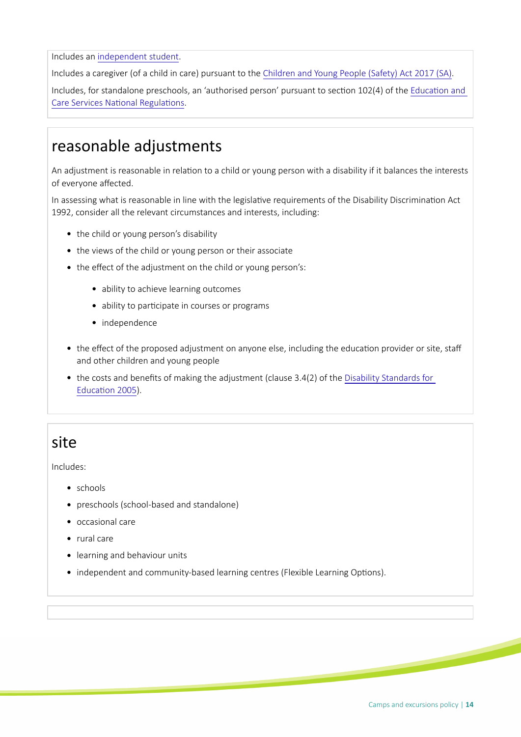Includes an independent student.

Includes a caregiver (of a child in care) pursuant to the [Children and Young People \(Safety\) Act 2017 \(SA\)](https://www.legislation.sa.gov.au/LZ/C/A/CHILDREN%20AND%20YOUNG%20PEOPLE%20(SAFETY)%20ACT%202017.aspx).

Includes, for standalone preschools, an 'authorised person' pursuant to section 102(4) of the Education and Care Services National Regulations.

### reasonable adjustments

An adjustment is reasonable in relation to a child or young person with a disability if it balances the interests of everyone afected.

In assessing what is reasonable in line with the legislative requirements of the Disability Discrimination Act 1992, consider all the relevant circumstances and interests, including:

- the child or young person's disability
- the views of the child or young person or their associate
- the effect of the adjustment on the child or young person's:
	- ability to achieve learning outcomes
	- ability to participate in courses or programs
	- independence
- the effect of the proposed adjustment on anyone else, including the education provider or site, staff and other children and young people
- the costs and benefits of making the adjustment (clause 3.4(2) of the Disability Standards for Education 2005).

### site

Includes:

- schools
- preschools (school-based and standalone)
- occasional care
- rural care
- learning and behaviour units
- independent and community-based learning centres (Flexible Learning Options).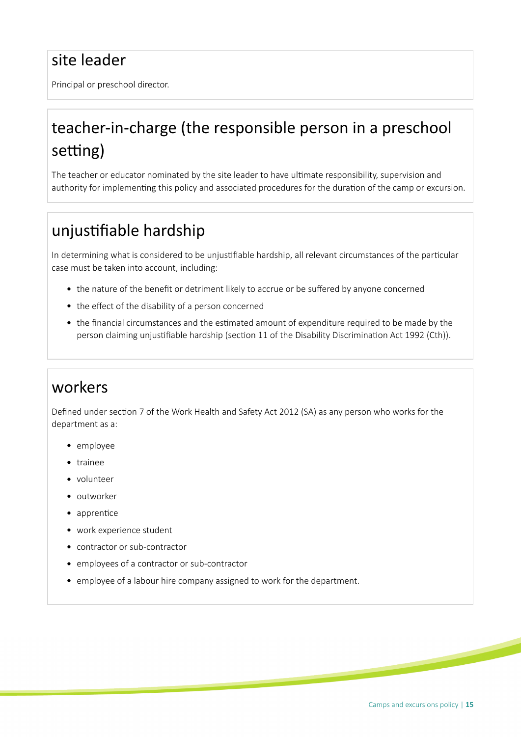## site leader

Principal or preschool director.

# teacher-in-charge (the responsible person in a preschool setting)

The teacher or educator nominated by the site leader to have ultmate responsibility, supervision and authority for implementing this policy and associated procedures for the duration of the camp or excursion.

## unjustifiable hardship

In determining what is considered to be unjustifiable hardship, all relevant circumstances of the particular case must be taken into account, including:

- the nature of the benefit or detriment likely to accrue or be suffered by anyone concerned
- the effect of the disability of a person concerned
- the fnancial circumstances and the estmated amount of expenditure required to be made by the person claiming unjustifiable hardship (section 11 of the Disability Discrimination Act 1992 (Cth)).

### workers

Defined under section 7 of the Work Health and Safety Act 2012 (SA) as any person who works for the department as a:

- employee
- trainee
- volunteer
- outworker
- apprentice
- work experience student
- contractor or sub-contractor
- employees of a contractor or sub-contractor
- employee of a labour hire company assigned to work for the department.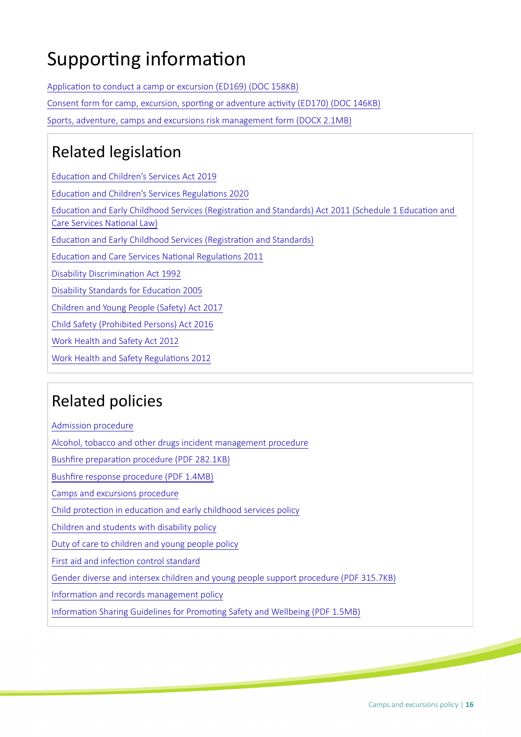# Supporting information

Application to conduct a camp or excursion (ED169) (DOC 158KB) Consent form for camp, excursion, sporting or adventure activity (ED170) (DOC 146KB) [Sports, adventure, camps and excursions risk management form \(DOCX 2.1MB\)](https://edi.sa.edu.au/library/document-library/psp/conditions-for-learning/camps,-excursions-and-sporting-activities/camps-and-excursion-risk-management-form.docx)

# **Related legislation**

Education and Children's Services Act 2019 [Educaton and Children's Services Regulatons 2020](https://www.legislation.sa.gov.au/LZ/C/R/EDUCATION%20AND%20CHILDRENS%20SERVICES%20REGULATIONS%202020.aspx) Education and Early Childhood Services (Registration and Standards) Act 2011 (Schedule 1 Education and Care Services National Law) Education and Early Childhood Services (Registration and Standards) Education and Care Services National Regulations 2011 Disability Discrimination Act 1992 [Disability Standards for Educaton 2005](https://www.legislation.gov.au/Details/F2005L00767) [Children and Young People \(Safety\) Act 2017](https://www.legislation.sa.gov.au/LZ/C/A/CHILDREN%20AND%20YOUNG%20PEOPLE%20(SAFETY)%20ACT%202017.aspx) [Child Safety \(Prohibited Persons\) Act 2016](https://www.legislation.sa.gov.au/LZ/C/A/CHILD%20SAFETY%20(PROHIBITED%20PERSONS)%20ACT%202016.aspx) [Work Health and Safety Act 2012](https://legislation.sa.gov.au/LZ/C/A/WORK%20HEALTH%20AND%20SAFETY%20ACT%202012.aspx)

Work Health and Safety Regulations 2012

### Related policies

[Admission procedure](https://edi.sa.edu.au/library/document-library/controlled-procedures/admission-procedure) [Alcohol, tobacco and other drugs incident management procedure](https://edi.sa.edu.au/library/document-library/controlled-procedures/alcohol%2C-tobacco-and-other-drugs-incident-management-procedure) Bushfire preparation procedure (PDF 282.1KB) [Bushfre response procedure \(PDF 1.4MB\)](https://edi.sa.edu.au/library/document-library/controlled-procedures/bushfire-response-procedure.pdf) [Camps and excursions procedure](https://edi.sa.edu.au/library/document-library/controlled-procedures/camps-and-excursions-procedure) Child protection in education and early childhood services policy [Children and students with disability policy](https://edi.sa.edu.au/library/document-library/controlled-policies/children-and-students-with-disability-policy) [Duty of care to children and young people policy](https://edi.sa.edu.au/library/document-library/controlled-policies/duty-of-care-policy) First aid and infection control standard [Gender diverse and intersex children and young people support procedure \(PDF 315.7KB\)](https://edi.sa.edu.au/library/document-library/controlled-procedures/gender-diverse-intersex-children-young-people-support-procedure.pdf) Information and records management policy Information Sharing Guidelines for Promoting Safety and Wellbeing (PDF 1.5MB)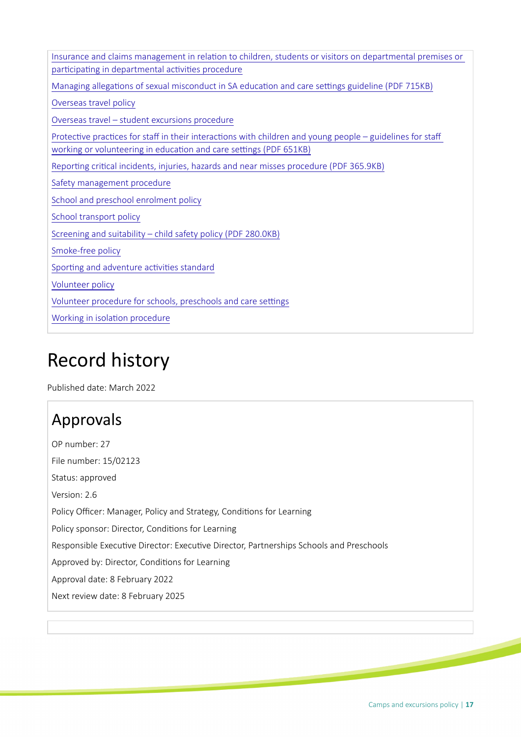| Insurance and claims management in relation to children, students or visitors on departmental premises or                                                                        |
|----------------------------------------------------------------------------------------------------------------------------------------------------------------------------------|
| participating in departmental activities procedure                                                                                                                               |
| Managing allegations of sexual misconduct in SA education and care settings guideline (PDF 715KB)                                                                                |
| Overseas travel policy                                                                                                                                                           |
| Overseas travel - student excursions procedure                                                                                                                                   |
| Protective practices for staff in their interactions with children and young people - guidelines for staff<br>working or volunteering in education and care settings (PDF 651KB) |
| Reporting critical incidents, injuries, hazards and near misses procedure (PDF 365.9KB)                                                                                          |
| Safety management procedure                                                                                                                                                      |
| School and preschool enrolment policy                                                                                                                                            |
| School transport policy                                                                                                                                                          |
| Screening and suitability - child safety policy (PDF 280.0KB)                                                                                                                    |
| Smoke-free policy                                                                                                                                                                |
| Sporting and adventure activities standard                                                                                                                                       |
| Volunteer policy                                                                                                                                                                 |
| Volunteer procedure for schools, preschools and care settings                                                                                                                    |
| Working in isolation procedure                                                                                                                                                   |

# Record history

Published date: March 2022

# Approvals

OP number: 27 File number: 15/02123 Status: approved Version: 2.6 Policy Officer: Manager, Policy and Strategy, Conditions for Learning Policy sponsor: Director, Conditions for Learning Responsible Executive Director: Executive Director, Partnerships Schools and Preschools Approved by: Director, Conditions for Learning Approval date: 8 February 2022 Next review date: 8 February 2025